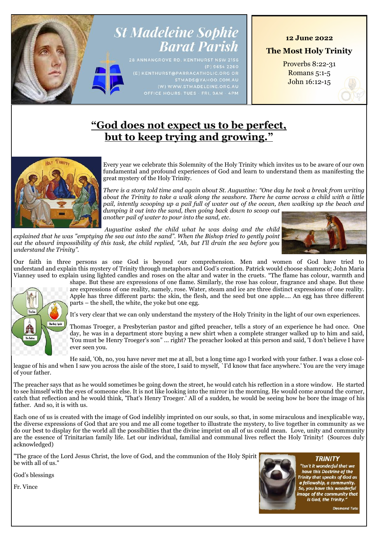# **St Madeleine Sophie Barat Parish**

 $(P)$  9654 2260

### **12 June 2022**

**The Most Holy Trinity**

Proverbs 8:22-31 Romans 5:1-5 John 16:12-15

## **"God does not expect us to be perfect, but to keep trying and growing."**



Every year we celebrate this Solemnity of the Holy Trinity which invites us to be aware of our own fundamental and profound experiences of God and learn to understand them as manifesting the great mystery of the Holy Trinity.

*There is a story told time and again about St. Augustine: "One day he took a break from writing about the Trinity to take a walk along the seashore. There he came across a child with a little pail, intently scooping up a pail full of water out of the ocean, then walking up the beach and dumping it out into the sand, then going back down to scoop out another pail of water to pour into the sand, etc.*

*Augustine asked the child what he was doing and the child explained that he was "emptying the sea out into the sand". When the Bishop tried to gently point out the absurd impossibility of this task, the child replied, "Ah, but I'll drain the sea before you understand the Trinity".*



Our faith in three persons as one God is beyond our comprehension. Men and women of God have tried to understand and explain this mystery of Trinity through metaphors and God's creation. Patrick would choose shamrock; John Maria Vianney used to explain using lighted candles and roses on the altar and water in the cruets. "The flame has colour, warmth and



shape. But these are expressions of one flame. Similarly, the rose has colour, fragrance and shape. But these are expressions of one reality, namely, rose. Water, steam and ice are three distinct expressions of one reality. Apple has three different parts: the skin, the flesh, and the seed but one apple.... An egg has three different parts – the shell, the white, the yoke but one egg.

It's very clear that we can only understand the mystery of the Holy Trinity in the light of our own experiences.

Thomas Troeger, a Presbyterian pastor and gifted preacher, tells a story of an experience he had once. One day, he was in a department store buying a new shirt when a complete stranger walked up to him and said, 'You must be Henry Troeger's son" ... right? The preacher looked at this person and said, 'I don't believe I have ever seen you.

He said, 'Oh, no, you have never met me at all, but a long time ago I worked with your father. I was a close colleague of his and when I saw you across the aisle of the store, I said to myself, `I'd know that face anywhere.' You are the very image of your father.

The preacher says that as he would sometimes be going down the street, he would catch his reflection in a store window. He started to see himself with the eyes of someone else. It is not like looking into the mirror in the morning. He would come around the corner, catch that reflection and he would think, 'That's Henry Troeger.' All of a sudden, he would be seeing how he bore the image of his father. And so, it is with us.

Each one of us is created with the image of God indelibly imprinted on our souls, so that, in some miraculous and inexplicable way, the diverse expressions of God that are you and me all come together to illustrate the mystery, to live together in community as we do our best to display for the world all the possibilities that the divine imprint on all of us could mean. Love, unity and community are the essence of Trinitarian family life. Let our individual, familial and communal lives reflect the Holy Trinity! (Sources duly acknowledged)

"The grace of the Lord Jesus Christ, the love of God, and the communion of the Holy Spirit be with all of us."

God's blessings

Fr. Vince



"Isn't it wonderful that we have this Doctrine of the Trinity that speaks of God as<br>a fellowship, a community.<br>So, you have this wonderful image of the community that<br>is God, the Trinity."

**TRINITY** 

**Desmond Tutu**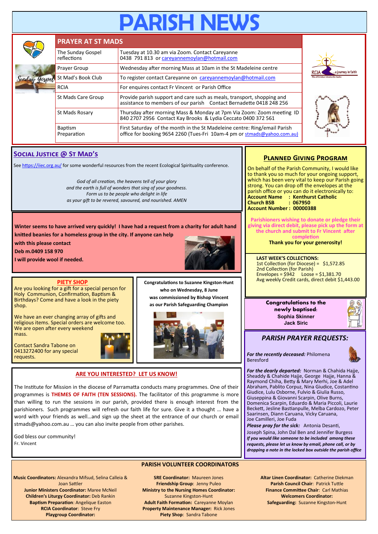# **SH NE**

|         | <b>PRAYER AT ST MADS</b>         |                                                                                                                                                       |  |  |  |
|---------|----------------------------------|-------------------------------------------------------------------------------------------------------------------------------------------------------|--|--|--|
|         | The Sunday Gospel<br>reflections | Tuesday at 10.30 am via Zoom. Contact Careyanne<br>0438 791 813 or careyannemoylan@hotmail.com                                                        |  |  |  |
|         | Prayer Group                     | Wednesday after morning Mass at 10am in the St Madeleine centre                                                                                       |  |  |  |
| Similay | St Mad's Book Club               | To register contact Careyanne on careyannemoylan@hotmail.com                                                                                          |  |  |  |
|         | <b>RCIA</b>                      | For enquires contact Fr Vincent or Parish Office                                                                                                      |  |  |  |
|         | St Mads Care Group               | Provide parish support and care such as meals, transport, shopping and<br>assistance to members of our parish Contact Bernadette 0418 248 256         |  |  |  |
|         | St Mads Rosary                   | Thursday after morning Mass & Monday at 7pm Via Zoom: Zoom meeting ID<br>840 2707 2956 Contact Kay Brooks & Lydia Ceccato 0400 372 561                |  |  |  |
|         | <b>Baptism</b><br>Preparation    | First Saturday of the month in the St Madeleine centre: Ring/email Parish<br>office for booking 9654 2260 (Tues-Fri 10am-4 pm or stmads@yahoo.com.au) |  |  |  |





### **Social Justice @ St Mad's**

See<https://iiec.org.au/> for some wonderful resources from the recent Ecological Spirituality conference.

*God of all creation, the heavens tell of your glory and the earth is full of wonders that sing of your goodness. Form us to be people who delight in life as your gift to be revered, savoured, and nourished. AMEN*

**Winter seems to have arrived very quickly! I have had a request from a charity for adult hand knitted beanies for a homeless group in the city. If anyone can help** 

**with this please contact** 

**Deb m.0409 158 970**

**I will provide wool if needed.**



### **PIETY SHOP**

Are you looking for a gift for a special person for Holy Communion, Confirmation, Baptism & Birthdays? Come and have a look in the piety shop.

We have an ever changing array of gifts and religious items. Special orders are welcome too. We are open after every weekend mass.

Contact Sandra Tabone on 0413272400 for any special requests.



**Congratulations to Suzanne Kingston-Hunt who on Wednesday, 8 June was commissioned by Bishop Vincent as our Parish Safeguarding Champion**



### **ARE YOU INTERESTED? LET US KNOW!**

The Institute for Mission in the diocese of Parramatta conducts many programmes. One of their programmes is **THEMES OF FAITH (TEN SESSIONS).** The facilitator of this programme is more than willing to run the sessions in our parish, provided there is enough interest from the parishioners. Such programmes will refresh our faith life for sure. Give it a thought … have a word with your friends as well…and sign up the sheet at the entrance of our church or email stmads@yahoo.com.au … you can also invite people from other parishes.

God bless our community! Fr. Vincent



**Music Coordinators:** Alexandra Mifsud, Selina Calleia & Joan Sattler **Junior Ministers Coordinator:** Maree McNeil **Children's Liturgy Coordinator:** Deb Rankin **Baptism Preparation**: Angelique Easton **RCIA Coordinator**: Steve Fry **Playgroup Coordinator:** 

**SRE Coordinator:** Maureen Jones **Friendship Group**: Jenny Puleo **Ministry to the Nursing Homes Coordinator:**  Suzanne Kingston-Hunt **Adult Faith Formation:** Careyanne Moylan **Property Maintenance Manager:** Rick Jones **Piety Shop**: Sandra Tabone

### **Planned Giving Program**

On behalf of the Parish Community, I would like to thank you so much for your ongoing support, which has been very vital to keep our Parish going strong. You can drop off the envelopes at the parish office or you can do it electronically to: **Account Name : Kenthurst Catholic Church BSB Account Number : 00000388**

**Parishioners wishing to donate or pledge their giving via direct debit, please pick up the form at the church and submit to Fr Vincent after completion**

**Thank you for your generosity!**

**LAST WEEK'S COLLECTIONS:** 1st Collection (for Diocese) = \$1,572.85 2nd Collection (for Parish) Envelopes =  $$942$  Loose =  $$1,381.70$ Avg weekly Credit cards, direct debit \$1,443.00



### *PARISH PRAYER REQUESTS:*

*For the recently deceased:* Philomena Beresford

*For the dearly departed:* Norman & Chahida Hajje, Sheaddy & Chahide Hajje, George Hajje, Hanna & Raymond Chiha, Betty & Mary Merhi, Joe & Adel Abraham, Pablito Corpuz, Nina Giudice, Costantino Giudice, Lulu Osborne, Fulvio & Giulia Russo, Giuseppina & Giovanni Scarpin, Olive Burns, Domenica Scarpin, Eduardo & Maria Piccoli, Laurie Beckett, Jesline Bastianpulle, Melba Cardozo, Peter Saarinsen, Diann Caruana, Vicky Caruana, Joe Camilleri, Joe Fuda

*Please pray for the sick:* Antonia Desanti, Joseph Spina, John Dal Ben and Jennifer Burgess *If you would like someone to be included among these requests, please let us know by email, phone call, or by dropping a note in the locked box outside the parish office*

> **Altar Linen Coordinator:** Catherine Diekman **Parish Council Chair**: Patrick Tuttle **Finance Committee Chair**: Carl Mathias **Welcomers Coordinator: Safeguarding:** Suzanne Kingston-Hunt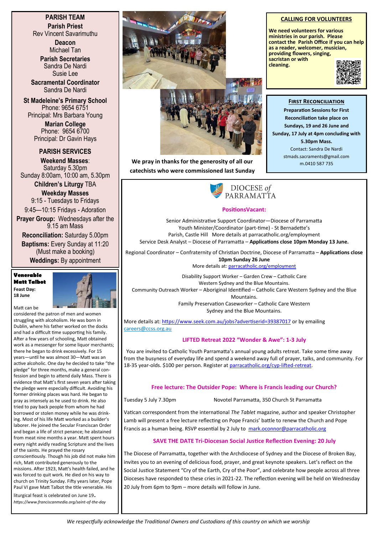**PARISH TEAM Parish Priest** Rev Vincent Savarimuthu

> **Deacon** Michael Tan

**Parish Secretaries** Sandra De Nardi Susie Lee

**Sacramental Coordinator** Sandra De Nardi

**St Madeleine's Primary School** Phone: 9654 6751 Principal: Mrs Barbara Young

> **Marian College** Phone: 9654 6700 Principal: Dr Gavin Hays

**PARISH SERVICES**

**Weekend Masses**: Saturday 5.30pm Sunday 8:00am, 10:00 am, 5.30pm

> **Children's Liturgy** TBA **Weekday Masses**  9:15 - Tuesdays to Fridays

9:45—10:15 Fridays - Adoration **Prayer Group:** Wednesdays after the

9.15 am Mass **Reconciliation:** Saturday 5.00pm

**Baptisms:** Every Sunday at 11:20 (Must make a booking) **Weddings:** By appointment

**Venerable Matt Talbot Feast Day: 18 June**



Matt can be considered the patron of men and women struggling with alcoholism. He was born in Dublin, where his father worked on the docks and had a difficult time supporting his family. After a few years of schooling, Matt obtained work as a messenger for some liquor merchants; there he began to drink excessively. For 15 years—until he was almost 30—Matt was an active alcoholic. One day he decided to take "the pledge" for three months, make a general confession and begin to attend daily Mass. There is evidence that Matt's first seven years after taking the pledge were especially difficult. Avoiding his former drinking places was hard. He began to pray as intensely as he used to drink. He also tried to pay back people from whom he had borrowed or stolen money while he was drinking. Most of his life Matt worked as a builder's laborer. He joined the Secular Franciscan Order and began a life of strict penance; he abstained from meat nine months a year. Matt spent hours every night avidly reading Scripture and the lives of the saints. He prayed the rosary conscientiously. Though his job did not make him rich, Matt contributed generously to the missions. After 1923, Matt's health failed, and he was forced to quit work. He died on his way to church on Trinity Sunday. Fifty years later, Pope

Paul VI gave Matt Talbot the title venerable. His liturgical feast is celebrated on June 19. *https://www.franciscanmedia.org/saint-of-the-day*



**We pray in thanks for the generosity of all our**  $\frac{1}{\text{m}.0410\,587\,735}$ **catechists who were commissioned last Sunday** 

### DIOCESE of PARRAMATTA

### **PositionsVacant:**

Senior Administrative Support Coordinator—Diocese of Parramatta Youth Minister/Coordinator (part-time) - St Bernadette's Parish, Castle Hill More details at parracatholic.org/employment Service Desk Analyst – Diocese of Parramatta – **Applications close 10pm Monday 13 June.**

Regional Coordinator – Confraternity of Christian Doctrine, Diocese of Parramatta – **Applications close 10pm Sunday 26 June**

More details at: [parracatholic.org/employment](http://parracatholic.org/employment)

Disability Support Worker – Garden Crew – Catholic Care Western Sydney and the Blue Mountains. Community Outreach Worker – Aboriginal Identified – Catholic Care Western Sydney and the Blue **Mountains** Family Preservation Caseworker – Catholic Care Western

Sydney and the Blue Mountains.

More details at:<https://www.seek.com.au/jobs?advertiserid=39387017> or by emailing [careers@ccss.org.au](mailto:careers@ccss.org.au)

### **LIFTED Retreat 2022 "Wonder & Awe": 1-3 July**

You are invited to Catholic Youth Parramatta's annual young adults retreat. Take some time away from the busyness of everyday life and spend a weekend away full of prayer, talks, and community. For 18-35 year-olds. \$100 per person. Register at [parracatholic.org/cyp](http://parracatholic.org/cyp-lifted-retreat)-lifted-retreat.

### **Free lecture: The Outsider Pope: Where is Francis leading our Church?**

Tuesday 5 July 7.30pm Novotel Parramatta, 350 Church St Parramatta

Vatican correspondent from the international *The Tablet* magazine, author and speaker Christopher Lamb will present a free lecture reflecting on Pope Francis' battle to renew the Church and Pope Francis as a human being. RSVP essential by 2 July to <mark.oconnor@parracatholic.org>

### **SAVE THE DATE Tri-Diocesan Social Justice Reflection Evening: 20 July**

The Diocese of Parramatta, together with the Archdiocese of Sydney and the Diocese of Broken Bay, invites you to an evening of delicious food, prayer, and great keynote speakers. Let's reflect on the Social Justice Statement "Cry of the Earth, Cry of the Poor", and celebrate how people across all three Dioceses have responded to these cries in 2021-22. The reflection evening will be held on Wednesday 20 July from 6pm to 9pm – more details will follow in June.

### **CALLING FOR VOLUNTEERS**

**We need volunteers for various ministries in our parish. Please contact the Parish Office if you can help as a reader, welcomer, musician, providing flowers, singing, sacristan or with cleaning.**

**First Reconciliation Preparation Sessions for First Reconciliation take place on Sundays, 19 and 26 June and Sunday, 17 July at 4pm concluding with 5.30pm Mass.** Contact: Sandra De Nardi stmads.sacraments@gmail.com